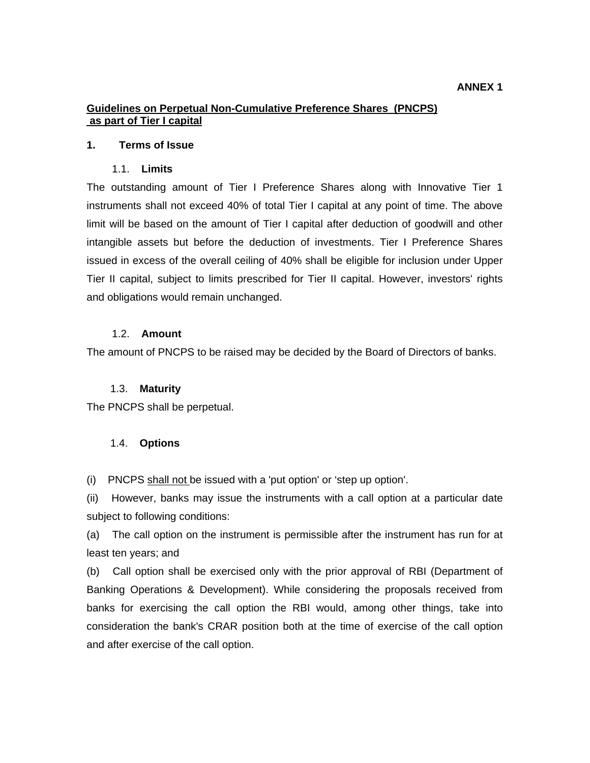# **ANNEX 1**

# **Guidelines on Perpetual Non-Cumulative Preference Shares (PNCPS) as part of Tier I capital**

## **1. Terms of Issue**

## 1.1. **Limits**

The outstanding amount of Tier I Preference Shares along with Innovative Tier 1 instruments shall not exceed 40% of total Tier I capital at any point of time. The above limit will be based on the amount of Tier I capital after deduction of goodwill and other intangible assets but before the deduction of investments. Tier I Preference Shares issued in excess of the overall ceiling of 40% shall be eligible for inclusion under Upper Tier II capital, subject to limits prescribed for Tier II capital. However, investors' rights and obligations would remain unchanged.

## 1.2. **Amount**

The amount of PNCPS to be raised may be decided by the Board of Directors of banks.

# 1.3. **Maturity**

The PNCPS shall be perpetual.

# 1.4. **Options**

(i) PNCPS shall not be issued with a 'put option' or 'step up option'.

(ii) However, banks may issue the instruments with a call option at a particular date subject to following conditions:

(a) The call option on the instrument is permissible after the instrument has run for at least ten years; and

(b) Call option shall be exercised only with the prior approval of RBI (Department of Banking Operations & Development). While considering the proposals received from banks for exercising the call option the RBI would, among other things, take into consideration the bank's CRAR position both at the time of exercise of the call option and after exercise of the call option.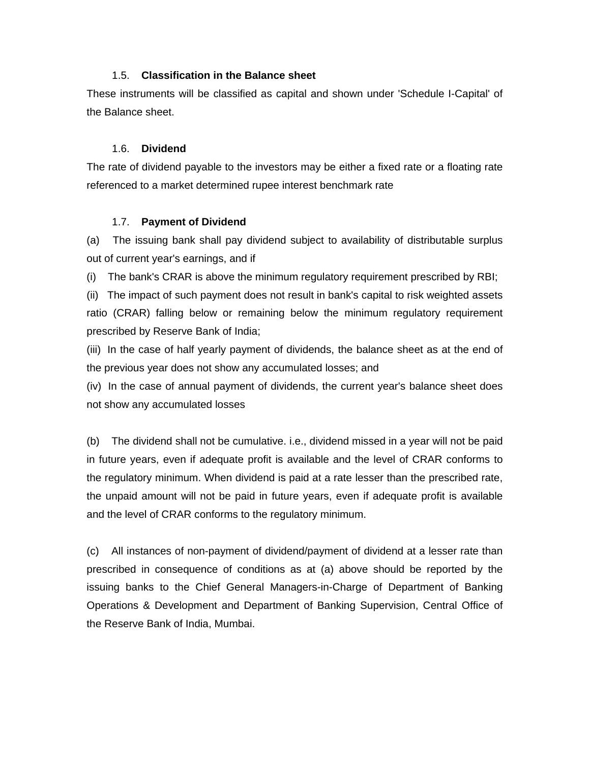# 1.5. **Classification in the Balance sheet**

These instruments will be classified as capital and shown under 'Schedule I-Capital' of the Balance sheet.

# 1.6. **Dividend**

The rate of dividend payable to the investors may be either a fixed rate or a floating rate referenced to a market determined rupee interest benchmark rate

## 1.7. **Payment of Dividend**

(a) The issuing bank shall pay dividend subject to availability of distributable surplus out of current year's earnings, and if

(i) The bank's CRAR is above the minimum regulatory requirement prescribed by RBI;

(ii) The impact of such payment does not result in bank's capital to risk weighted assets ratio (CRAR) falling below or remaining below the minimum regulatory requirement prescribed by Reserve Bank of India;

(iii) In the case of half yearly payment of dividends, the balance sheet as at the end of the previous year does not show any accumulated losses; and

(iv) In the case of annual payment of dividends, the current year's balance sheet does not show any accumulated losses

(b) The dividend shall not be cumulative. i.e., dividend missed in a year will not be paid in future years, even if adequate profit is available and the level of CRAR conforms to the regulatory minimum. When dividend is paid at a rate lesser than the prescribed rate, the unpaid amount will not be paid in future years, even if adequate profit is available and the level of CRAR conforms to the regulatory minimum.

(c) All instances of non-payment of dividend/payment of dividend at a lesser rate than prescribed in consequence of conditions as at (a) above should be reported by the issuing banks to the Chief General Managers-in-Charge of Department of Banking Operations & Development and Department of Banking Supervision, Central Office of the Reserve Bank of India, Mumbai.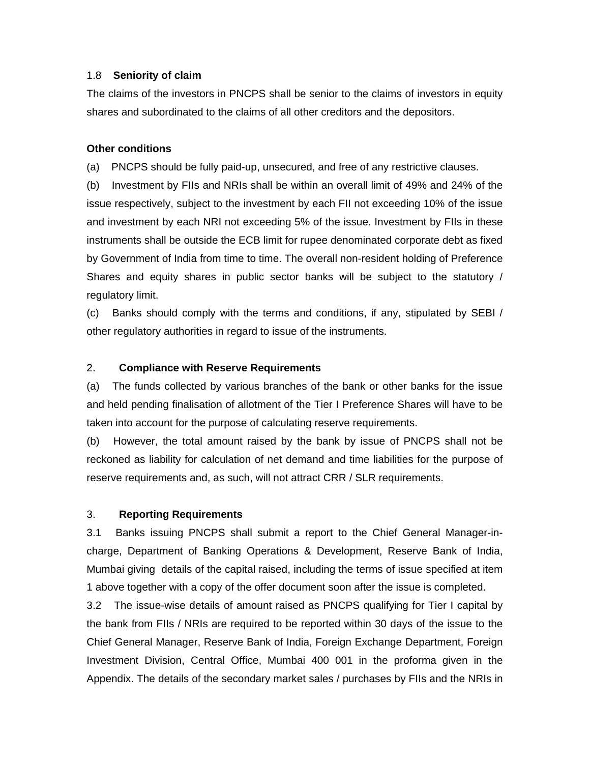## 1.8 **Seniority of claim**

The claims of the investors in PNCPS shall be senior to the claims of investors in equity shares and subordinated to the claims of all other creditors and the depositors.

# **Other conditions**

(a) PNCPS should be fully paid-up, unsecured, and free of any restrictive clauses.

(b) Investment by FIIs and NRIs shall be within an overall limit of 49% and 24% of the issue respectively, subject to the investment by each FII not exceeding 10% of the issue and investment by each NRI not exceeding 5% of the issue. Investment by FIIs in these instruments shall be outside the ECB limit for rupee denominated corporate debt as fixed by Government of India from time to time. The overall non-resident holding of Preference Shares and equity shares in public sector banks will be subject to the statutory / regulatory limit.

(c) Banks should comply with the terms and conditions, if any, stipulated by SEBI / other regulatory authorities in regard to issue of the instruments.

## 2. **Compliance with Reserve Requirements**

(a) The funds collected by various branches of the bank or other banks for the issue and held pending finalisation of allotment of the Tier I Preference Shares will have to be taken into account for the purpose of calculating reserve requirements.

(b) However, the total amount raised by the bank by issue of PNCPS shall not be reckoned as liability for calculation of net demand and time liabilities for the purpose of reserve requirements and, as such, will not attract CRR / SLR requirements.

#### 3. **Reporting Requirements**

3.1 Banks issuing PNCPS shall submit a report to the Chief General Manager-incharge, Department of Banking Operations & Development, Reserve Bank of India, Mumbai giving details of the capital raised, including the terms of issue specified at item 1 above together with a copy of the offer document soon after the issue is completed.

3.2 The issue-wise details of amount raised as PNCPS qualifying for Tier I capital by the bank from FIIs / NRIs are required to be reported within 30 days of the issue to the Chief General Manager, Reserve Bank of India, Foreign Exchange Department, Foreign Investment Division, Central Office, Mumbai 400 001 in the proforma given in the Appendix. The details of the secondary market sales / purchases by FIIs and the NRIs in